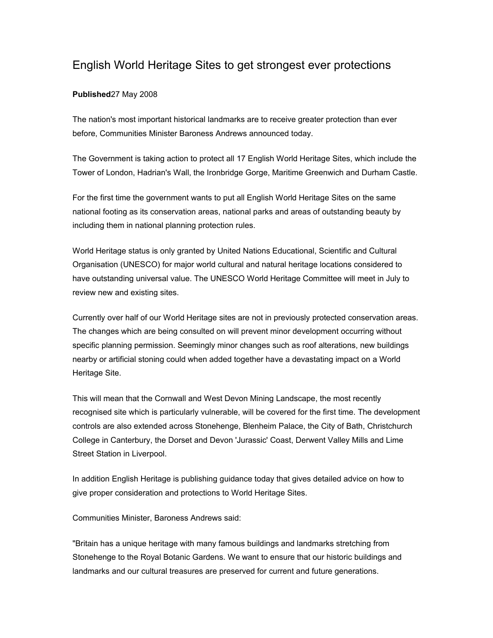## English World Heritage Sites to get strongest ever protections

## **Published**27 May 2008

The nation's most important historical landmarks are to receive greater protection than ever before, Communities Minister Baroness Andrews announced today.

The Government is taking action to protect all 17 English World Heritage Sites, which include the Tower of London, Hadrian's Wall, the Ironbridge Gorge, Maritime Greenwich and Durham Castle.

For the first time the government wants to put all English World Heritage Sites on the same national footing as its conservation areas, national parks and areas of outstanding beauty by including them in national planning protection rules.

World Heritage status is only granted by United Nations Educational, Scientific and Cultural Organisation (UNESCO) for major world cultural and natural heritage locations considered to have outstanding universal value. The UNESCO World Heritage Committee will meet in July to review new and existing sites.

Currently over half of our World Heritage sites are not in previously protected conservation areas. The changes which are being consulted on will prevent minor development occurring without specific planning permission. Seemingly minor changes such as roof alterations, new buildings nearby or artificial stoning could when added together have a devastating impact on a World Heritage Site.

This will mean that the Cornwall and West Devon Mining Landscape, the most recently recognised site which is particularly vulnerable, will be covered for the first time. The development controls are also extended across Stonehenge, Blenheim Palace, the City of Bath, Christchurch College in Canterbury, the Dorset and Devon 'Jurassic' Coast, Derwent Valley Mills and Lime Street Station in Liverpool.

In addition English Heritage is publishing guidance today that gives detailed advice on how to give proper consideration and protections to World Heritage Sites.

Communities Minister, Baroness Andrews said:

"Britain has a unique heritage with many famous buildings and landmarks stretching from Stonehenge to the Royal Botanic Gardens. We want to ensure that our historic buildings and landmarks and our cultural treasures are preserved for current and future generations.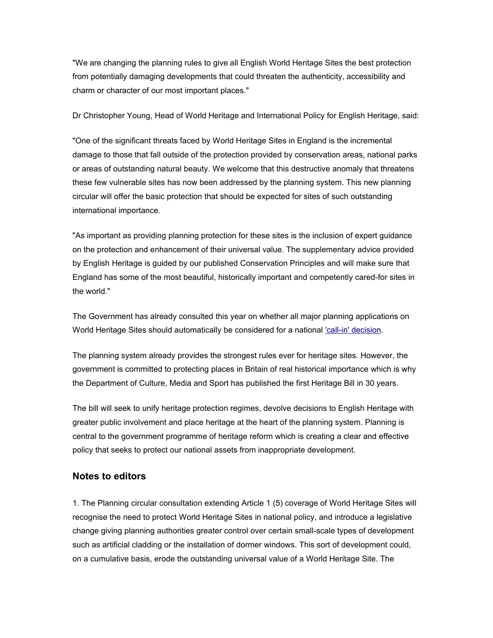"We are changing the planning rules to give all English World Heritage Sites the best protection from potentially damaging developments that could threaten the authenticity, accessibility and charm or character of our most important places."

Dr Christopher Young, Head of World Heritage and International Policy for English Heritage, said:

"One of the significant threats faced by World Heritage Sites in England is the incremental damage to those that fall outside of the protection provided by conservation areas, national parks or areas of outstanding natural beauty. We welcome that this destructive anomaly that threatens these few vulnerable sites has now been addressed by the planning system. This new planning circular will offer the basic protection that should be expected for sites of such outstanding international importance.

"As important as providing planning protection for these sites is the inclusion of expert guidance on the protection and enhancement of their universal value. The supplementary advice provided by English Heritage is guided by our published Conservation Principles and will make sure that England has some of the most beautiful, historically important and competently cared-for sites in the world."

The Government has already consulted this year on whether all major planning applications on World Heritage Sites should automatically be considered for a national ['call-in' decision.](http://www.communities.gov.uk/publications/planningandbuilding/callindirections)

The planning system already provides the strongest rules ever for heritage sites. However, the government is committed to protecting places in Britain of real historical importance which is why the Department of Culture, Media and Sport has published the first Heritage Bill in 30 years.

The bill will seek to unify heritage protection regimes, devolve decisions to English Heritage with greater public involvement and place heritage at the heart of the planning system. Planning is central to the government programme of heritage reform which is creating a clear and effective policy that seeks to protect our national assets from inappropriate development.

## **Notes to editors**

1. The Planning circular consultation extending Article 1 (5) coverage of World Heritage Sites will recognise the need to protect World Heritage Sites in national policy, and introduce a legislative change giving planning authorities greater control over certain small-scale types of development such as artificial cladding or the installation of dormer windows. This sort of development could, on a cumulative basis, erode the outstanding universal value of a World Heritage Site. The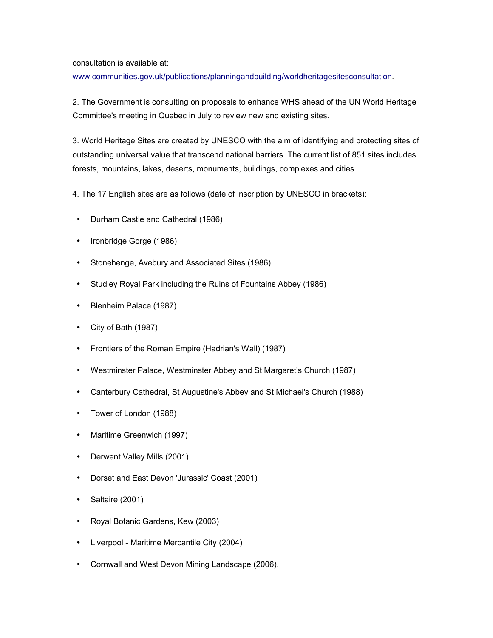consultation is available at:

[www.communities.gov.uk/publications/planningandbuilding/worldheritagesitesconsultation.](http://www.communities.gov.uk/publications/planningandbuilding/worldheritagesitesconsultation)

2. The Government is consulting on proposals to enhance WHS ahead of the UN World Heritage Committee's meeting in Quebec in July to review new and existing sites.

3. World Heritage Sites are created by UNESCO with the aim of identifying and protecting sites of outstanding universal value that transcend national barriers. The current list of 851 sites includes forests, mountains, lakes, deserts, monuments, buildings, complexes and cities.

4. The 17 English sites are as follows (date of inscription by UNESCO in brackets):

- Durham Castle and Cathedral (1986)
- Ironbridge Gorge (1986)
- Stonehenge, Avebury and Associated Sites (1986)
- Studley Royal Park including the Ruins of Fountains Abbey (1986)
- Blenheim Palace (1987)
- City of Bath (1987)
- Frontiers of the Roman Empire (Hadrian's Wall) (1987)
- Westminster Palace, Westminster Abbey and St Margaret's Church (1987)
- Canterbury Cathedral, St Augustine's Abbey and St Michael's Church (1988)
- Tower of London (1988)
- Maritime Greenwich (1997)
- Derwent Valley Mills (2001)
- Dorset and East Devon 'Jurassic' Coast (2001)
- Saltaire (2001)
- Royal Botanic Gardens, Kew (2003)
- Liverpool Maritime Mercantile City (2004)
- Cornwall and West Devon Mining Landscape (2006).